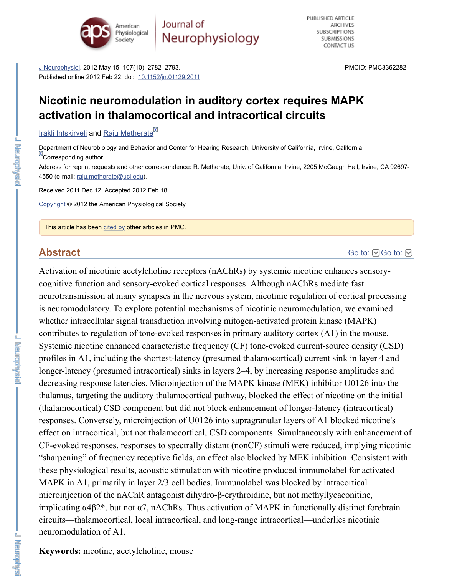Department of Neurobiology and Behavior and Center for Hearing Research, University of California, Irvine, California **N**Corresponding author.

Address for reprint requests and other correspondence: R. Metherate, Univ. of California, Irvine, 2205 McGaugh 4550 (e-mail: raju.metherate@uci.edu).

[Received 2011](https://www.ncbi.nlm.nih.gov/pmc/articles/PMC3362282/#) Dec 12; Accepted 2012 Feb 18.

Copyright © 2012 the American Ph[ysiological Society](https://dx.doi.org/10.1152%2Fjn.01129.2011)

This article has been cited by other articles in PMC.

# **[Abstract](https://www.ncbi.nlm.nih.gov/pubmed/?term=Intskirveli%20I%5BAuthor%5D&cauthor=true&cauthor_uid=22357798)**

Activation of nicotinic acetylcholine receptors (nAChRs) by systemic nicotine enhances cognitive function and sensory-evoked cortical responses. Although nAChRs mediat neurotransmission at many synapses in the nervous system, nicotinic regulation of cortical processing processing processing processing processing processing processing processing processing processing processing processing is neurom[odulatory. To explo](mailto:dev@null)re potential mechanisms of nicotinic neuromodulation, whether intracellular signal transduction involving mitogen-activated protein kinase [contribu](https://www.ncbi.nlm.nih.gov/pmc/about/copyright/)tes to regulation of tone-evoked responses in primary auditory cortex (A1) in Systemic nicotine enhanced characteristic frequency (CF) tone-evoked current-sourc profiles in A1, in[cluding](https://www.ncbi.nlm.nih.gov/pmc/articles/PMC3362282/citedby/) the shortest-latency (presumed thalamocortical) current sink longer-latency (presumed intracortical) sinks in layers 2–4, by increasing response and decreasing response latencies. Microinjection of the MAPK kinase (MEK) inhibitor the thalamus, targeting the auditory thalamocortical pathway, blocked the effect of nicoti (thalamocortical) CSD component but did not block enhancement of longer-latency ( responses. Conversely, microinjection of U0126 into supragranular layers of A1 bloc effect on intracortical, but not thalamocortical, CSD components. Simultaneously with CF-evoked responses, responses to spectrally distant (nonCF) stimuli were reduced, "sharpening" of frequency receptive fields, an effect also blocked by MEK inhibition. these physiological results, acoustic stimulation with nicotine produced immunolabel MAPK in A1, primarily in layer  $2/3$  cell bodies. Immunolabel was blocked by intractionmicroinjection of the nAChR antagonist dihydro-β-erythroidine, but not methyllycac implicating  $\alpha$ 4β2<sup>\*</sup>, but not  $\alpha$ 7, nAChRs. Thus activation of MAPK in functionally di circuits—thalamocortical, local intracortical, and long-range intracortical—underlies neuromodulation of A1.

**Keywords:** nicotine, acetylcholine, mouse

**Newformer**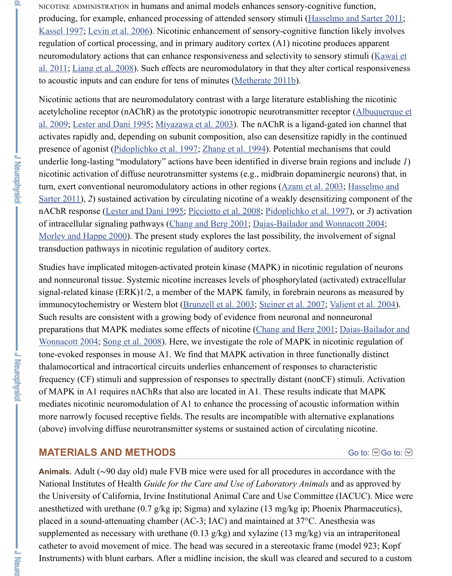al. 2009; Lester and Dani 1995; Miyazawa et al. 2003). The nAChR is a ligand-gated ion channel that activates rapidly and, depending on subunit composition, also can desensitize rapidly presence of agonist (Pidoplichko et al. 1997; Zhang et al. 1994). Potential mechanism [underlie long](https://www.ncbi.nlm.nih.gov/pmc/articles/PMC3362282/#B24)[-lasting "modulat](https://www.ncbi.nlm.nih.gov/pmc/articles/PMC3362282/#B31)ory" actions have been identified in diverse brain region nicotinic activation of diffuse neurotransmitter systems (e.g., midbrain dopaminergic turn, exert conventional neuromodulatory actions in other regions (Azam et al. 2003; Sarter 2011), 2[\) sustained a](https://www.ncbi.nlm.nih.gov/pmc/articles/PMC3362282/#B33)ctivation by circulating nicotine of a weakly desensitizing nAChR response (Lester and Dani 1995; Picciotto et [al. 2008; Pidoplich](https://www.ncbi.nlm.nih.gov/pmc/articles/PMC3362282/#B37)ko et al. 199 of intracellular signaling pathways (Chang and Berg 2001; Dajas-Bailador and Wonn Morley and Happe 2000). The present study explores the last possibility, the involver [transduction pathways in nicotinic regulation of auditory cortex.](https://www.ncbi.nlm.nih.gov/pmc/articles/PMC3362282/#B2)

Studies have implicated mitogen-activated protein kinase (MAPK) in nicotinic regulation of neurons. and nonneuronal tiss[ue. Systemic nicotine in](https://www.ncbi.nlm.nih.gov/pmc/articles/PMC3362282/#B47)[creases levels of p](https://www.ncbi.nlm.nih.gov/pmc/articles/PMC3362282/#B64)hosphorylated (activation) signal-related kinase  $(ERK)/2$ , a member of the MAPK family, in forebrain neurons immunocytochemistry or Western blot (Brunzell et al. 2003; Steiner et al. 2007; Valjent Such results are consistent with a growing body of evidence from neuronal and nonn preparations that MAPK mediates some effects of nicotine (Chang and Berg 2001; D Wonnacott 2004; [Song et al. 2008\). Here](https://www.ncbi.nlm.nih.gov/pmc/articles/PMC3362282/#B30)[, we investigate the r](https://www.ncbi.nlm.nih.gov/pmc/articles/PMC3362282/#B46)ole of MAPK in nicotin tone-evoked responses in mouse A1[. We find that MAPK](https://www.ncbi.nlm.nih.gov/pmc/articles/PMC3362282/#B8) activation in three function [thalamocortical and intra](https://www.ncbi.nlm.nih.gov/pmc/articles/PMC3362282/#B40)cortical circuits underlies enhancement of responses to characteristic frequency (CF) stimuli and suppression of responses to spectrally distant (nonCF) sti of MAPK in A1 requires nAChRs that also are located in A1. These results indicate to mediates nicotinic neuromodulation of A1 to enhance the processing of acoustic information with  $\alpha$ . more narrowly focused receptive fields. The results are incompatible with alternative (above) involving diffuse neurotransmit[ter systems or sustai](https://www.ncbi.nlm.nih.gov/pmc/articles/PMC3362282/#B6)[ned action of circul](https://www.ncbi.nlm.nih.gov/pmc/articles/PMC3362282/#B55)ating

# **MATERIALS AND METHODS**

Animals. Adult (∼90 day old) male FVB mice were used for all procedures in accord National Institutes of Health *Guide for the Care and Use of Laboratory Animals* and the University of California, Irvine Institutional Animal Care and Use Committee (IA anesthetized with urethane (0.7 g/kg ip; Sigma) and xylazine (13 mg/kg ip; Phoenix I placed in a sound-attenuating chamber (AC-3; IAC) and maintained at  $37^{\circ}$ C. Anesthesia supplemented as necessary with urethane  $(0.13 \text{ g/kg})$  and xylazine  $(13 \text{ mg/kg})$  via an catheter to avoid movement of mice. The head was secured in a stereotaxic frame (m Instruments) with blunt earbars. After a midline incision, the skull was cleared and setured and

不可言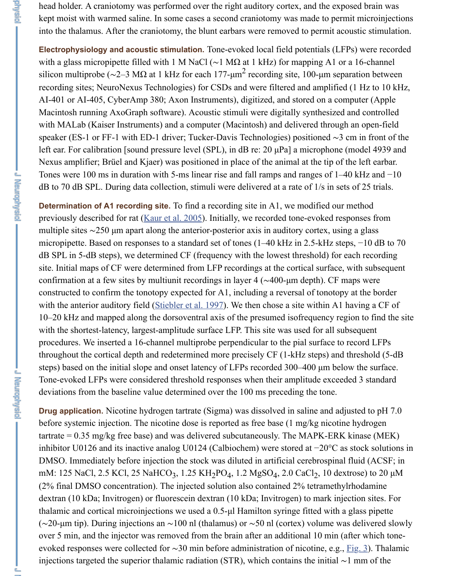with  $\mathcal{N}$  and a computer  $\mathcal{N}$  and delivered through and delivered through and delivered through and delivered through and delivered through and delivered through and delivered through and delivered through an open speaker (ES-1 or FF-1 with ED-1 driver; Tucker-Davis Technologies) positioned  $\sim$ 3 left ear. For calibration [sound pressure level (SPL), in dB re:  $20 \mu Pa$ ] a microphone Nexus amplifier; Brüel and Kjaer) was positioned in place of the animal at the tip of Tones were 100 ms in duration with 5-ms linear rise and fall ramps and ranges of  $1-4$ dB to 70 dB SPL. During data collection, stimuli were delivered at a rate of  $1/s$  in set

**Determination of A1 recording site.** To find a recording site in A1, we modified our previously described for rat (Kaur et al.  $2005$ ). Initially, we recorded tone-evoked res multiple sites  $\sim$ 250 µm apart along the anterior-posterior axis in auditory cortex, using micropipette. Based on responses to a standard set of tones (1–40 kHz in 2.5-kHz ste  $dB$  SPL in 5-dB steps), we determined CF (frequency with the lowest threshold) for  $\epsilon$ site. Initial maps of CF were determined from LFP recordings at the cortical surface, confirmation at a few sites by multiunit recordings in layer 4 (∼400-µm depth). CF n constructed to confirm the tonotopy expected for A1, including a reversal of tonotopy with the anterior auditory field (Stiebler et al. 1997). We then chose a site within A1 10–20 kHz and mapped along the dorsoventral axis of the presumed isofrequency reg with the shortest-latency, largest-amplitude surface LFP. This site was used for all sub-procedures. We inserted a 16[-channel multipr](https://www.ncbi.nlm.nih.gov/pmc/articles/PMC3362282/#B26)obe perpendicular to the pial surface to throughout the cortical depth and redetermined more precisely CF (1-kHz steps) and steps) based on the initial slope and onset latency of LFPs recorded 300–400 µm below Tone-evoked LFPs were considered threshold responses when their amplitude exceeded  $\overline{a}$ deviations from the baseline value determined over the 100 ms preceding the tone.

**Drug application.** Nicotine hydrogen tartrate (Sigma) was dissolved in saline and adj before systemic injection. The nicotine dose is reported as free base (1 mg/kg nicotine tartrate  $= 0.35$  mg/kg free base) [and was delivered s](https://www.ncbi.nlm.nih.gov/pmc/articles/PMC3362282/#B56)ubcutaneously. The MAPK-ERK inhibitor U0126 and its inactive analog U0124 (Calbiochem) were stored at −20°C as DMSO. Immediately before injection the stock was diluted in artificial cerebrospinal mM: 125 NaCl, 2.5 KCl, 25 NaHCO<sub>3</sub>, 1.25 KH<sub>2</sub>PO<sub>4</sub>, 1.2 MgSO<sub>4</sub>, 2.0 CaCl<sub>2</sub>, 10 dex  $(2\%$  final DMSO concentration). The injected solution also contained  $2\%$  tetramethy dextran (10 kDa; Invitrogen) or fluorescein dextran (10 kDa; Invitrogen) to mark injection sites. For thalamic and cortical microinjections we used a 0.5-µl Hamilton syringe fitted with a  $(\sim 20$ -μm tip). During injections an  $\sim 100$  nl (thalamus) or  $\sim 50$  nl (cortex) volume was over 5 min, and the injector was removed from the brain after an additional 10 min (a evoked responses were collected for ∼30 min before administration of nicotine, e.g., injections targeted the superior thalamic radiation (STR), which contains the initial  $\sim$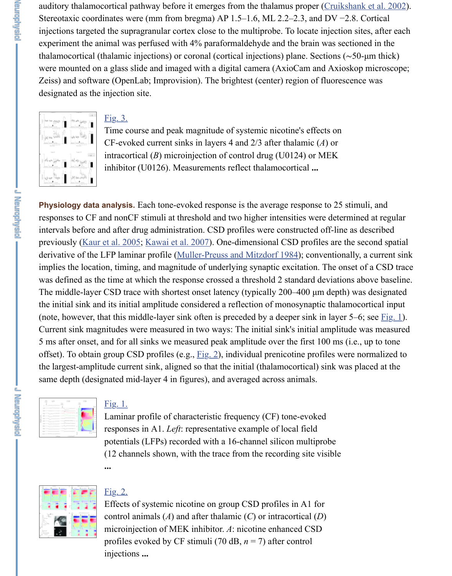

Time course and peak magnitude of systemic nicotine's effe[cts on](https://www.ncbi.nlm.nih.gov/pmc/articles/PMC3362282/#B10) CF-evoked current sinks in layers 4 and 2/3 after thalamic (*A*) or intracortical (*B*) microinjection of control drug (U0124) or MEK inhibitor (U0126). Measurements reflect thalamocortical **...**

**Physiology data analysis.** Each tone-evoked response is the average response to 25 stimulate and all  $\theta$ responses to CF and nonCF stimuli at threshold and two higher intensities were deter intervals before and after drug administration. CSD profiles were constructed off-line previously (Kaur [et al. 20](https://www.ncbi.nlm.nih.gov/pmc/articles/PMC3362282/figure/F3/)05; Kawai et al. 2007). One-dimensional CSD profiles are the second spatial spatial spatial spatial spatial spatial spatial spatial spatial spatial spatial spatial spatial spatial spatial spatial [derivative of the](https://www.ncbi.nlm.nih.gov/pmc/articles/PMC3362282/figure/F3/) LFP laminar profile (Muller-Preuss and Mitzdorf 1984); convention implies the location, timing, and magnitude of underlying synaptic excitation. The or was defined as the time at which the response crossed a threshold 2 standard deviations The middle-layer CSD trace with shortest onset latency (typically  $200-400 \mu m$  depth the initial sink and its initial amplitude considered a reflection of monosynaptic thala (note, however, that this middle-layer sink often is preceded by a deeper sink in layer Current sink magnitudes were measured in two ways: The initial sink's initial amplitude was measured in two ways: The initial sink's initial amplitudes 5 ms after onset, and for all sinks we measured peak amplitude over the first 100 ms offset). To obtain group CSD profiles (e.g.,  $Fig. 2$ ), individual prenicotine profiles we the largest-[amplitude current](https://www.ncbi.nlm.nih.gov/pmc/articles/PMC3362282/#B26) [sink, aligned so th](https://www.ncbi.nlm.nih.gov/pmc/articles/PMC3362282/#B27)at the initial (thalamocortical) sink w same depth (designated mid-layer 4 i[n figures\), and averaged across anim](https://www.ncbi.nlm.nih.gov/pmc/articles/PMC3362282/#B41)als.



## Fig. 1.

Laminar profile of characteristic frequency (CF) tone-evoked responses in A1. *Left*: representative example of local field potentials (LFPs) recorded with a 16-channel silicon multiprobe (12 channels shown, with the trace from the recording site visible **...**



## Fig. 2.

Effects of systemic nicotine on group CSD profiles in A1 for control animals (*A*) and after thalamic (*C*) or intracortical (*D*) [microi](https://www.ncbi.nlm.nih.gov/pmc/articles/PMC3362282/figure/F1/)njection of MEK inhibitor. *A*: nicotine enhanced CSD profiles evoked by CF stimuli (70 dB, *n* = 7) after control injections **...**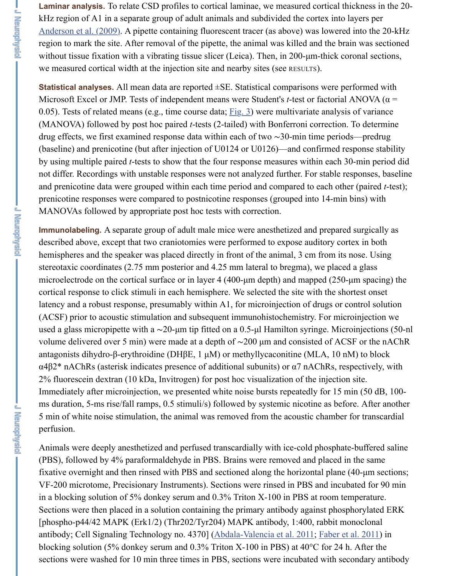(MANOVA) followed by post hoc paired *t*-tests (2-tailed) with Bonferroni correction. To determine drug effects, we first examined response data within each of two  $\sim$ 30-min time perio (baseline) and prenicotine (but after injection of  $U0124$  or  $U0126$ )—and confirmed r [by using multiple paire](https://www.ncbi.nlm.nih.gov/pmc/articles/PMC3362282/#B3)d *t*-tests to show that the four response measures within each 30-min period did did at  $\frac{1}{2}$ not differ. Recordings with unstable responses were not analyzed further. For stable responses and prenicotine data were grouped within each time period and compared to each other (pair of the test);  $\frac{1}{\sqrt{2}}$ prenicotine responses were compared to postnicotine responses (grouped into 14-min MANOVAs followed by appropriate post hoc tests with correction.

Immunolabeling. A separate group of adult male mice were anesthetized and prepare described above, except that two craniotomies were [perform](https://www.ncbi.nlm.nih.gov/pmc/articles/PMC3362282/figure/F3/)ed to expose auditory co hemispheres and the speaker was placed directly in front of the animal, 3 cm from its stereotaxic coordinates  $(2.75 \text{ mm}$  posterior and  $4.25 \text{ mm}$  lateral to bregma), we place microelectrode on the cortical surface or in layer  $4(400-\mu m \pm 1)$  and mapped (250cortical response to click stimuli in each hemisphere. We selected the site with the sh latency and a robust response, presumably within A1, for microinjection of drugs or (ACSF) prior to acoustic stimulation and subsequent immunohistochemistry. For mic used a glass micropipette with a ∼20-µm tip fitted on a 0.5-µl Hamilton syringe. Mic volume delivered over 5 min) were made at a depth of ~200 μm and consisted of AC antagonists dihydro-β-erythroidine (DHβE, 1  $\mu$ M) or methyllycaconitine (MLA, 10 n α4β2\* nAChRs (asterisk indicates presence of additional subunits) or  $α7$  nAChRs, re  $2\%$  fluorescein dextran (10 kDa, Invitrogen) for post hoc visualization of the injection Immediately after microinjection, we presented white noise bursts repeatedly for 15 m ms duration, 5-ms rise/fall ramps, 0.5 stimuli/s) followed by systemic nicotine as bef 5 min of white noise stimulation, the animal was removed from the acoustic chamber perfusion.

Animals were deeply anesthetized and perfused transcardially with ice-cold phosphate-(PBS), followed by 4% paraformaldehyde in PBS. Brains were removed and placed in fixative overnight and then rinsed with PBS and sectioned along the horizontal plane VF-200 microtome, Precisionary Instruments). Sections were rinsed in PBS and incu in a blocking solution of 5% donkey serum and  $0.3\%$  Triton X-100 in PBS at room to Sections were then placed in a solution containing the primary antibody against phos [phospho-p44/42 MAPK (Erk1/2) (Thr202/Tyr204) MAPK antibody, 1:400, rabbit m antibody; Cell Signaling Technology no. 4370] (Abdala-Valencia et al. 2011; Faber et blocking solution (5% donkey serum and  $0.3\%$  Triton X-100 in PBS) at 40°C for 24 sections were washed for 10 min three times in PBS, sections were incubated with se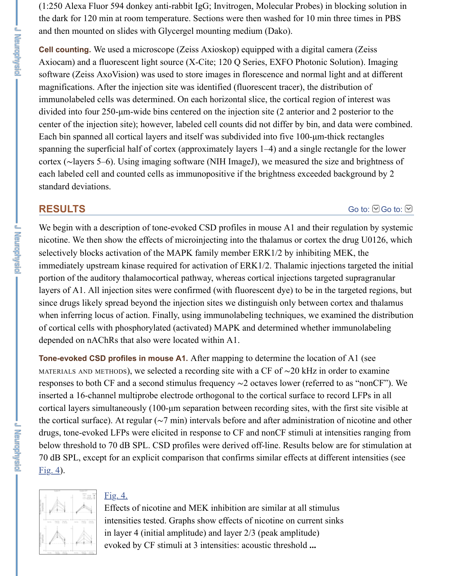center of the injection site); however, labeled cell counts did not differ by bin, and data were combined. Each bin spanned all cortical layers and itself was subdivided into five  $100$ - $\mu$ m-thick spanning the superficial half of cortex (approximately layers  $1-4$ ) and a single rectangle cortex (∼layers 5–6). Using imaging software (NIH ImageJ), we measured the size a each labeled cell and counted cells as immunopositive if the brightness exceeded background by 2011. standard deviations.

## **RESULTS**

We begin with a description of tone-evoked CSD profiles in mouse A1 and their regulation by systemic by systemic systemic system. nicotine. We then show the effects of microinjecting into the thalamus or cortex the drug selectively blocks activation of the MAPK family member ERK1/2 by inhibiting ME immediately upstream kinase required for activation of ERK1/2. Thalamic injections portion of the auditory thalamocortical pathway, whereas cortical injections targeted layers of A1. All injection sites were confirmed (with fluorescent dye) to be in the targeted regions, but all  $\alpha$ since drugs likely spread beyond the injection sites we distinguish only between corte when inferring locus of action. Finally, using immunolabeling techniques, we examined the distribution of cortical cells with phosphorylated (activated) MAPK and determined whether imn depended on nAChRs that also were located within A1.

**Tone-evoked CSD profiles in mouse A1.** After mapping to determine the location of MATERIALS AND METHODS), we selected a recording site with a CF of  $\sim$ 20 kHz in order responses to both CF and a second stimulus frequency ∼2 octaves lower (referred to inserted a 16-channel multiprobe electrode orthogonal to the cortical surface to record cortical layers simultaneously  $(100\text{-}\mu\text{m}$  separation between recording sites, with the f the cortical surface). At regular (∼7 min) intervals before and after administration of drugs, tone-evoked LFPs were elicited in response to CF and nonCF stimuli at intens below threshold to 70 dB SPL. CSD profiles were derived off-line. Results below are 70 dB SPL, except for an explicit comparison that confirms similar effects at different  $Fig. 4$ ).



#### Fig. 4.

Effects of nicotine and MEK inhibition are similar at all stimulus intensities tested. Graphs show effects of nicotine on current sinks in layer 4 (initial amplitude) and layer 2/3 (peak amplitude) evoked by CF stimuli at 3 intensities: acoustic threshold **...**

**LENGRAPHIC**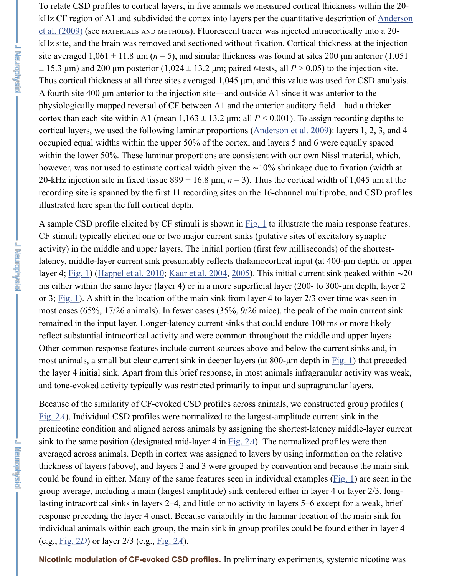cortical layers, we used the following laminar proportions (Anderson et al. 2009): layers occupied equal widths within the upper 50% of the cortex, and layers 5 and 6 were equal within the lower 50%. These laminar proportions are consistent with our own Nissl n however, was not used to estimate cortical width given the  $\sim$ 10% shrinkage due to fi 20-kHz injection site in fixed tissue  $899 \pm 16.8$  µm;  $n = 3$ ). Thus the cortical width of recording site is spanned by the first 11 recording sites on the 16-channel multiprobe illustrated here span the full cortical depth.

A sample CSD profile elicited by CF stimuli is shown in  $Fig. 1$  to illustrate the main CF stimuli typically elicited one or two major current sinks (putative sites of excitatory synaptic synaptic synaptic synaptic synaptic synaptic synaptic synaptic synaptic synaptic synaptic synaptic synaptic synaptic synap activity) in the middle and upper layers. The initial portion (first few milliseconds) of latency, middle-layer current sink presumably reflects thala[mocortical input \(at 4](https://www.ncbi.nlm.nih.gov/pmc/articles/PMC3362282/#B3)00-µm depth, or upper layer 4; Fig. 1) (Happel et al. 2010; Kaur et al. 2004, 2005). This initial current sink peaked with ∠ ms either within the same layer (layer 4) or in a more superficial layer (200- to 300- $\mu$ ) or 3; Fig. 1). A shift in the location of the main sink from layer 4 to layer  $2/3$  over tin most cases (65%,  $17/26$  animals). In fewer cases (35%,  $9/26$  mice), the peak of the m remained in the input layer. Longer-latency current sinks that could endure 100 ms or reflect substantial intracortical activity and were common throughout the middle and Other common response features include current sources [above](https://www.ncbi.nlm.nih.gov/pmc/articles/PMC3362282/figure/F1/) and below the current most animals, a small but clear current sink in deeper layers (at  $800$ -µm depth in Fig. the layer 4 initial sink. Apart from this brief response, in most animals infragranular activity was weak. and tone-evoked activity typically was restricted primarily to input and supragranular

J Maydphysic

- J Keynerysie

Becaus[e of the](https://www.ncbi.nlm.nih.gov/pmc/articles/PMC3362282/figure/F1/) [similarity of CF-evo](https://www.ncbi.nlm.nih.gov/pmc/articles/PMC3362282/#B21)[ked CSD profile](https://www.ncbi.nlm.nih.gov/pmc/articles/PMC3362282/#B25)s [acros](https://www.ncbi.nlm.nih.gov/pmc/articles/PMC3362282/#B26)s animals, we constructed Fig.  $2A$ ). Individual CSD profiles were normalized to the largest-amplitude current si preni[cotine](https://www.ncbi.nlm.nih.gov/pmc/articles/PMC3362282/figure/F1/) condition and aligned across animals by assigning the shortest-latency m sink to the same position (designated mid-layer 4 in  $Fig. 2A$ ). The normalized profile averaged across animals. Depth in cortex was assigned to layers by using information thickness of layers (above), and layers 2 and 3 were grouped by convention and because could be found in either. Many of the same features seen in individual examples ( $Fig$ group average, including a main (largest amplitude) sink centered either in layer 4 or lasting intracortical sinks in layers 2–4, and little or no activity in layers 5–6 except for response preceding the layer 4 onset. Because variability in the laminar location of the individual animals within each group, the main sink in group profiles could be found [\(e.g., Fi](https://www.ncbi.nlm.nih.gov/pmc/articles/PMC3362282/figure/F2/)g. 2*D*) or layer 2/3 (e.g., Fig. 2*A*).

Nicotinic modulation of CF-evoked CSD profiles. I[n prelim](https://www.ncbi.nlm.nih.gov/pmc/articles/PMC3362282/figure/F2/)inary experiments, system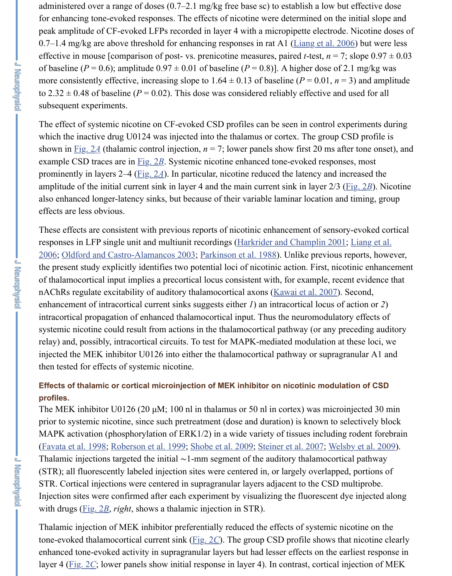The effect of systemic nicotine on  $\mathbb{R}^d$  profiles can be seen in control experiments during during during during during during during during during during during during during during during during during during durin which the inactive drug U0124 was injected into the thalamus or cortex. The group C shown in <u>Fig. 2A</u> (thalamic control injection,  $n = 7$ ; lower panels show first 20 ms after the one only only and  $n = 7$ ; and  $n = 7$ ; and  $n = 7$ ; and  $n = 7$ ; and  $n = 1$ example CSD traces are in **Fig. 2B**. Systemic nicotine enhanced tone-evoked respons prominently in layers  $2-4$  (Fig.  $2A$ ). In particular, nicotine reduced the latency and in amplitude of the initial current sink in layer 4 and the main current sink in layer 2/3 (Fig. 2<sup>2</sup>). also enhanced longer-latency sinks, but because of their variable laminar location and effects are less obvious.

These effects are consistent with previous reports of nicotinic enhancement of sensor responses in LFP single unit and multiunit recordings (Harkrider and Champlin 2001; 2006; Oldford and Castro-Alamancos 2003; Parkinson et al. 1988). Unlike previous reports the present study explicitly identifies two potential loci of nicotinic action. First, nico of thalam[ocortica](https://www.ncbi.nlm.nih.gov/pmc/articles/PMC3362282/figure/F2/)l input implies a precortical locus consistent with, for example, recent nAChRs regulate excitabili[ty of au](https://www.ncbi.nlm.nih.gov/pmc/articles/PMC3362282/figure/F2/)ditory thalamocortical axons (Kawai et al. 2007). enhancement of intracortic[al curren](https://www.ncbi.nlm.nih.gov/pmc/articles/PMC3362282/figure/F2/)t sinks suggests either *1*) an intracortical locus of intracortical propagation of enhanced thalamocortical input. Thus the neuromodulato systemic nicotine could result from actions in the thalamocortical pathway (or any pr relay) and, possibly, intracortical circuits. To test for MAPK-mediated modulation at injected the MEK inhibitor U0126 into either the thalamocortical pathway or supragraphic then tested for effects of systemic nicotine.

## **Effects of thalamic or cortical microinjection of MEK inhibitor on nicotinic modula profiles.**

The MEK inhibitor U0126 (20  $\mu$ M; 100 nl in thalamus or 50 nl in cortex) was microing prior to systemic nicotine, since such pretreatment (dose and dur[ation\) is known to](https://www.ncbi.nlm.nih.gov/pmc/articles/PMC3362282/#B27) se MAPK activation (phosphorylation of  $ERK1/2$ ) in a wide variety of tissues including (Favata et al. 1998; Roberson et al. 1999; Shobe et al. 2009; Steiner et al. 2007; Wels Thalamic injections targeted the initial  $\sim$ 1-mm segment of the auditory thalamocortic (STR); all fluorescently labeled injection sites were centered in, or largely overlapped STR. Cortical injections were centered in supragranular layers adjacent to the CSD n Injection sites were confirmed after each experiment by visualizing the fluorescent d with drugs (Fig. 2*B*, *right*, shows a thalamic injection in STR).

Thalamic injection of MEK inhibitor preferentially reduced the effects of systemic ni tone-evoked thalamocortical current sink (Fig. 2*C*). The group CSD profile shows the enhanced tone-evoked activity in supragranular layers but had lesser effects on the ea layer 4 (Fig. 2*C*; lower panels show initial response in layer 4). In contrast, cortical in

**District Mand**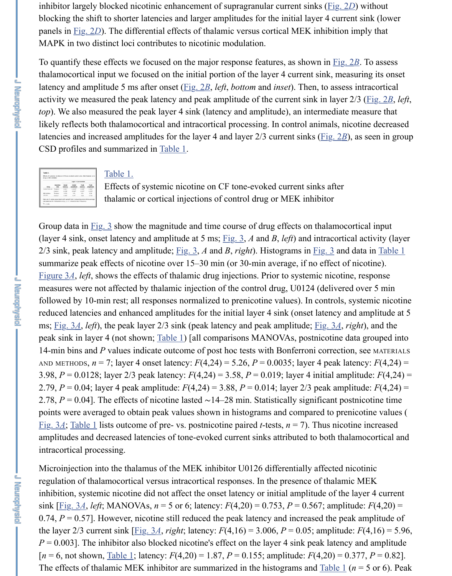likely reflects both thalamocortical and intracortical processing. In control animals, nicotine decreased latencies and increased amplitudes for the layer 4 and layer 2/3 current sinks (F[ig. 2](https://www.ncbi.nlm.nih.gov/pmc/articles/PMC3362282/figure/F2/)*B*) CSD pro[files and](https://www.ncbi.nlm.nih.gov/pmc/articles/PMC3362282/figure/F2/) summarized in Table 1.



≃

**- Alexandry Service** 

- Prenddyddira'r -

#### Table 1.

Effects of systemic nicotine on CF tone-evoked current sinks a[fter](https://www.ncbi.nlm.nih.gov/pmc/articles/PMC3362282/figure/F2/) thalamic or cortical injections of control drug or MEK inhibitor

Group data in  $Fig. 3$  show the magnitude and time course of drug effects on thalamoc (layer 4 sink, onset latency and amplitude at 5 ms;  $\underline{Fig. 3}$ , *A* and *B*, *left*) and intracortical 2/3 sink, peak latency and amplitude;  $\underline{Fig. 3}$ , *A* and *B*, *right*). Histograms in  $\underline{Fig. 3}$  and summarize peak effects of nicotine over 15–30 min (or 30-min average, if no [effect of](https://www.ncbi.nlm.nih.gov/pmc/articles/PMC3362282/figure/F2/) Figure 3A, *left*, shows the effects [of thala](https://www.ncbi.nlm.nih.gov/pmc/articles/PMC3362282/table/T1/)mic drug injections. Prior to systemic nicoting measures were not affected by thalamic injection of the control drug, U0124 (deliver [followed by 10-min rest; a](https://www.ncbi.nlm.nih.gov/pmc/articles/PMC3362282/table/T1/)ll responses normalized to prenicotine values). In controls, reduced latencies and enhanced amplitudes for the initial layer 4 sink (onset latency and ms; Fig. 3*A*, *left*), the peak layer 2/3 sink (peak latency and peak amplitude; Fig. 3*A*, peak sink in layer 4 (not shown; Table 1) [all comparisons MANOVAs, postnicotine 14-min bins a[nd](https://www.ncbi.nlm.nih.gov/pmc/articles/PMC3362282/figure/F3/) *P* values indicate outcome of post hoc tests with Bonferroni correction, AND METHODS,  $n = 7$ ; layer 4 onset latency:  $F(4,24) = 5.26$  $F(4,24) = 5.26$ ,  $P = 0.0035$ ; layer 4 peak l 3.98,  $P = 0.0128$ ; layer 2/3 peak laten[cy:](https://www.ncbi.nlm.nih.gov/pmc/articles/PMC3362282/figure/F3/)  $F(4,24) = 3.58$  $F(4,24) = 3.58$  $F(4,24) = 3.58$ ,  $P = 0.019$ ; layer 4 [initial](https://www.ncbi.nlm.nih.gov/pmc/articles/PMC3362282/figure/F3/) am 2.79, *P* = 0.04; layer 4 peak amplitude: *F*(4,24) = 3.88, *P* = 0.014; layer 2/3 peak amplitude: *F*(4,24) = [2.78,](https://www.ncbi.nlm.nih.gov/pmc/articles/PMC3362282/figure/F3/) *P* = 0.04]. The effects of nicotine lasted ~14–28 min. Statistically significant posterior. points were averaged to obtain peak values shown in histograms and compared to pre Fig. 3*A*; Table 1 lists outcome of pre- vs. postnicotine paired *t*-tests,  $n = 7$ ). Thus nice amplitudes and decreased latencies of tone-evoked current sinks attributed to both that intr[acortical](https://www.ncbi.nlm.nih.gov/pmc/articles/PMC3362282/figure/F3/) processing.

Microinjection into the thalamu[s of the M](https://www.ncbi.nlm.nih.gov/pmc/articles/PMC3362282/table/T1/)EK inhibitor U0126 differentially affected regulation of thalamocortical versus intracortical responses. In the presence of thalan inhibition, systemic nicotine did not affect the onset latency or initial amplitude of th sink  $[Fig. 3A, left; MANOVAs, n = 5 or 6; latency:  $F(4,20) = 0.753, P = 0.567$ ; ampl$ 0.74,  $P = 0.57$ ]. However, nicotine still reduced the peak latency and increased the peak the layer 2/3 current sink  $[\underline{Fig. 3A}, right]$ ; latency:  $F(4,16) = 3.006$ ,  $P = 0.05$ ; amplitude:  $P = 0.003$ . The inhibitor also blocked nicotine's effect on the layer 4 sink peak latency  $[n = 6, \text{ not shown}, \text{Table 1}; \text{ latency}: F(4,20) = 1.87, P = 0.155; \text{ amplitude}: F(4,20) = 0.37, P = 0.37, P = 0.37, P = 0.37, P = 0.37, P = 0.37, P = 0.37, P = 0.37, P = 0.37, P = 0.37, P = 0.37, P = 0.37, P = 0.37, P = 0.37, P = 0.37, P = 0.37, P = 0.37, P = 0.37, P = 0.37, P = 0.37, P =$  $[n = 6, \text{ not shown}, \text{Table 1}; \text{ latency}: F(4,20) = 1.87, P = 0.155; \text{ amplitude}: F(4,20) = 0.37, P = 0.37, P = 0.37, P = 0.37, P = 0.37, P = 0.37, P = 0.37, P = 0.37, P = 0.37, P = 0.37, P = 0.37, P = 0.37, P = 0.37, P = 0.37, P = 0.37, P = 0.37, P = 0.37, P = 0.37, P = 0.37, P = 0.37, P =$  $[n = 6, \text{ not shown}, \text{Table 1}; \text{ latency}: F(4,20) = 1.87, P = 0.155; \text{ amplitude}: F(4,20) = 0.37, P = 0.37, P = 0.37, P = 0.37, P = 0.37, P = 0.37, P = 0.37, P = 0.37, P = 0.37, P = 0.37, P = 0.37, P = 0.37, P = 0.37, P = 0.37, P = 0.37, P = 0.37, P = 0.37, P = 0.37, P = 0.37, P = 0.37, P =$ The effects of thalamic MEK inhibitor are summarized in the histograms and Table 1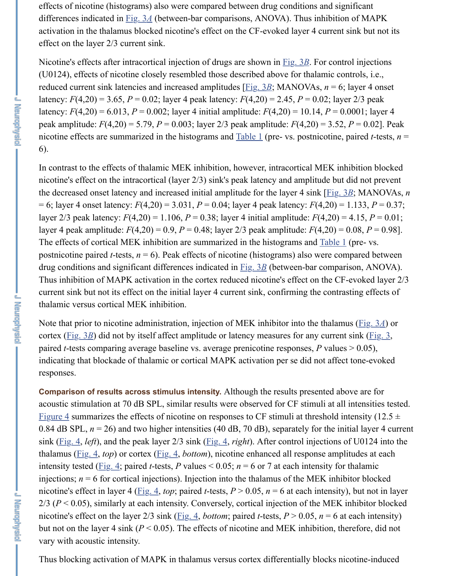peak amplitude: *F*(4,20) = 5.79, *P* = 0.003; layer 2/3 peak amplitude: *F*(4,20) = 3.52, *P* = 0.02]. Peak nicotine effects are sum[marized](https://www.ncbi.nlm.nih.gov/pmc/articles/PMC3362282/figure/F3/) in the histograms and **Table 1** (pre- vs. postnicotine, 6).

In contrast to the effects of thalamic MEK inhibition, however, intracortical MEK inhibition. nicotine's effect on the intracortical (layer  $2/3$ ) sink's peak latency and amplitude but the decreased onset latency and increased initial amplitude for the l[ayer 4 s](https://www.ncbi.nlm.nih.gov/pmc/articles/PMC3362282/figure/F3/)ink [Fig. 3*B*  $= 6$ ; layer 4 onset latency:  $F(4,20) = 3.031$ ,  $P = 0.04$ ; layer 4 peak latency:  $F(4,20) =$ layer 2/3 peak latency:  $F(4,20) = 1.106$ ,  $P = 0.38$ ; layer [4 initial a](https://www.ncbi.nlm.nih.gov/pmc/articles/PMC3362282/figure/F3/)mplitude:  $F(4,20) =$ layer 4 peak amplitude:  $F(4,20) = 0.9$ ,  $P = 0.48$ ; layer 2/3 peak amplitude:  $F(4,20) =$ The effects of cortical MEK inhibition are summarized in the histograms and Table 1 postnicotine paired *t*-tests,  $n = 6$ ). Peak effects of nicotine (histograms) also were con drug conditions and significant differences indicated in **Fig. 3***B* (between-bar compari Thus inhibition of MAPK activation in the cortex reduced nicotine's effect on the CF current sink but not its effect on the initial layer 4 current sink, confirming the contra thalamic versus cortical MEK inhibition.

Note that prior to nicotine administration, injection of MEK inhibitor into the thalam cortex (Fig. 3B) did not by itself affect amplitude or latency measures for any current paired *t*-tests comparing average baseline vs. average prenicotine responses, *P* values indicating that blockade of thalamic or cortical MAPK activation per se did n[ot affect](https://www.ncbi.nlm.nih.gov/pmc/articles/PMC3362282/table/T1/) responses.

Comparison of results across stimulus intensity. Alth[ough th](https://www.ncbi.nlm.nih.gov/pmc/articles/PMC3362282/figure/F3/)e results presented abo acoustic stimulation at 70 dB SPL, similar results were observed for CF stimuli at all Figure  $\frac{4}{5}$  summarizes the effects of nicotine on responses to CF stimuli at threshold in 0.84 dB SPL,  $n = 26$ ) and two higher intensities (40 dB, 70 dB), separately for the initial layer 4 current 0.84 current and a current of the initial layer 4 current of the initial layer 4 current of the initial layer 4 c sink ( $Fig. 4$ , *left*), and the peak layer 2/3 sink ( $Fig. 4$ , *right*). After control injections of thalamus ( $Fig. 4, top$ ) or cortex ( $Fig. 4, bottom$ ), nicotine enhanced all response ampl intensit[y tested](https://www.ncbi.nlm.nih.gov/pmc/articles/PMC3362282/figure/F3/) ( $\underline{Fig. 4}$ ; paired *t*-tests, *P* values < 0.05;  $n = 6$  or 7 at each intensity for injections;  $n = 6$  for cortical injections). Injection into the thalamus of the MEK inhibitor block nicotine's effect in layer 4 ( $\underline{Fig. 4}$ , *top*; paired *t*-tests,  $P > 0.05$ ,  $n = 6$  at each intensity  $2/3$  ( $P < 0.05$ ), similarly at each intensity. Conversely, cortical injection of the MEK nicotine's effect on the layer 2/3 sink ( $\underline{Fig. 4}$ , *bottom*; paired *t*-tests,  $P > 0.05$ ,  $n = 6$  at but not on the layer 4 sink ( $P < 0.05$ ). The effects of nicotine and MEK inhibition, the [vary with](https://www.ncbi.nlm.nih.gov/pmc/articles/PMC3362282/figure/F4/) acoustic intensity.

Thus [blocki](https://www.ncbi.nlm.nih.gov/pmc/articles/PMC3362282/figure/F4/)ng activation of MAPK in thalam[us vers](https://www.ncbi.nlm.nih.gov/pmc/articles/PMC3362282/figure/F4/)us cortex differentially blocks ni

**Theology** 

**J Neuropysic .**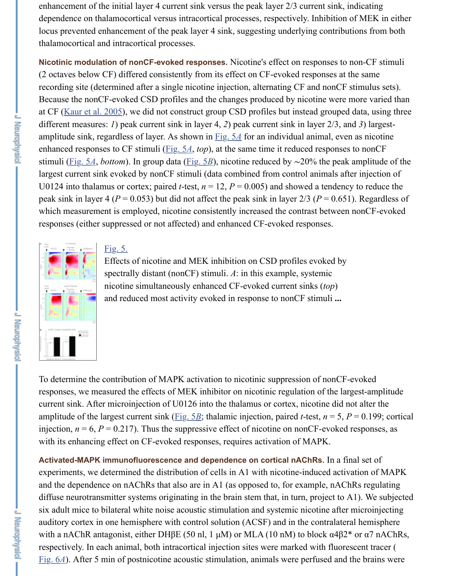different measures: *1*) peak current sink in layer 4, *2*) peak current sink in layer 2/3, and *3*) largestamplitude sink, regardless of layer. As shown in **Fig. 54** for an individual animal, even enhanced responses to CF stimuli ( $Fig. 5A$ , *top*), at the same time it reduced response stimuli (Fig. 5*A*, *bottom*). In group data (Fig. 5*B*), nicotine reduced by ∼20% the pea largest current sink evoked by nonCF stimuli (data combined from control animals after a U0124 into thalamus or cortex; paired *t*-test,  $n = 12$ ,  $P = 0.005$ ) and showed a tenden peak sink in layer 4 ( $P = 0.053$ ) but did not affect the peak sink in layer 2/3 ( $P = 0.65$ ). which measurement is employed, nicotine consistently increased the contrast between responses (either suppressed or not affected) and enhanced CF-evoked responses.



**England** 

J Naumphysic

**Pierront Mendian** 

#### [Fig. 5](https://www.ncbi.nlm.nih.gov/pmc/articles/PMC3362282/#B26).

Effects of nicotine and MEK i[nhibition](https://www.ncbi.nlm.nih.gov/pmc/articles/PMC3362282/figure/F5/) on CSD profiles evoked by spectrally distan[t \(nonCF](https://www.ncbi.nlm.nih.gov/pmc/articles/PMC3362282/figure/F5/)) stimuli. *A*: in this example, systemic nicotine simultaneousl[y enhan](https://www.ncbi.nlm.nih.gov/pmc/articles/PMC3362282/figure/F5/)ced CF-evoked current sinks (*top*) and reduced most activity evoked in response to nonCF stimuli **...**

[To determine the](https://www.ncbi.nlm.nih.gov/pmc/articles/PMC3362282/figure/F5/) [contrib](https://www.ncbi.nlm.nih.gov/pmc/articles/PMC3362282/figure/F5/)ution of MAPK activation to nicotinic suppression of nonCFresponses, we measured the effects of MEK inhibitor on nicotinic regulation of the la current sink. After microinjection of U0126 into the thalamus or cortex, nicotine did amplitude of the largest current sink (Fig. 5*B*; thalamic injection, paired *t*-test,  $n = 5$ , injection,  $n = 6$ ,  $P = 0.217$ ). Thus the suppressive effect of nicotine on nonCF-evoked with its enhancing effect on CF-evoked responses, requires activation of MAPK.

Activated-MAPK immunofluorescence and dependence on cortical nAChRs. In a f experiments, we determined the distribution of cells in A1 with nicotine-induced acti and the dependence on nAChRs that also are in A1 (as opposed to, for example, nAC diffuse neurotransmitter systems originating in the brain stem that, in turn, project to six adult mice to bilateral white noise acoustic stimulation and systemic nicotine after  $\alpha$ auditory cortex in one hemisphere with control solution (ACSF) and in the contralate with a nAChR antagonist, either DH $\beta$ E (50 nl, 1 µM) or MLA (10 nM) to block  $\alpha$ 4 $\beta$ 2 respectively. In each animal, both int[racortica](https://www.ncbi.nlm.nih.gov/pmc/articles/PMC3362282/figure/F5/)l injection sites were marked with fluor Fig. 6*A*). After 5 min of postnicotine acoustic stimulation, animals were perfused and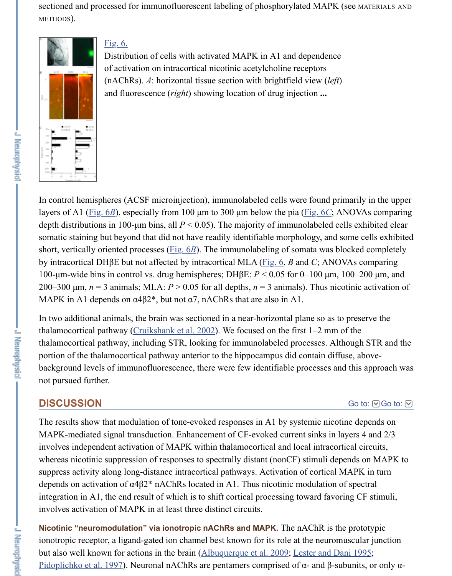

[In control hemis](https://www.ncbi.nlm.nih.gov/pmc/articles/PMC3362282/figure/F6/)pheres (ACSF microinjection), immunolabeled cells were found prin layers of A1 (Fig.  $6B$ ), especially from 100  $\mu$ m to 300  $\mu$ m below the pia (Fig.  $6C$ ; AN depth distributions in 100-µm bins, all  $P < 0.05$ ). The majority of immunolabeled cel somatic staining but beyond that did not have readily identifiable morphology, and so short, vertically oriented processes (Fig. 6*B*). The immunolabeling of somata was blo by intracortical DHβE but not affected by intracortical MLA (Fig. 6, *B* and *C*; ANOV 100-μm-wide bins in control vs. drug hemispheres; DHβE:  $P < 0.05$  for 0–100 μm, 1 200–300  $\mu$ m,  $n = 3$  animals; MLA:  $P > 0.05$  for all depths,  $n = 3$  animals). Thus nico MAPK in A1 depends on  $\alpha$ 4 $\beta$ 2<sup>\*</sup>, but not  $\alpha$ 7, nAChRs that are also in A1.

In two additional animals, the brain was sectioned in a near-horizontal plane so as to thalamocortical pathway (Cruikshank et al.  $2002$ ). We focused on the first  $1-2$  mm of thalamocortic[al pathw](https://www.ncbi.nlm.nih.gov/pmc/articles/PMC3362282/figure/F6/)ay, including STR, looking for immunolabeled pro[cesses. A](https://www.ncbi.nlm.nih.gov/pmc/articles/PMC3362282/figure/F6/)lth portion of the thalamocortical pathway anterior to the hippocampus did contain diffuse, abovebackground levels of immunofluore[scence,](https://www.ncbi.nlm.nih.gov/pmc/articles/PMC3362282/figure/F6/) there were few identifiable processes and not pursued further.

# **DISCUSSION**

The results show that modulation of tone-evoked responses in A1 by systemic nicotine MAPK-mediated signal transduction. Enhancement of CF-evoked current sinks in lay involves independent activation of MAPK within thalamocortical and local intracorti whereas nicotinic suppres[sion of responses to spe](https://www.ncbi.nlm.nih.gov/pmc/articles/PMC3362282/#B10)ctrally distant (nonCF) stimuli depe suppress activity along long-distance intracortical pathways. Activation of cortical M depends on activation of  $\alpha$ 4 $\beta$ 2\* nAChRs located in A1. Thus nicotinic modulation of integration in A1, the end result of which is to shift cortical processing toward favori involves activation of MAPK in at least three distinct circuits.

Nicotinic "neuromodulation" via ionotropic nAChRs and MAPK. The nAChR is the ionotropic receptor, a ligand-gated ion channel best known for its role at the neuromuscular in but also well known for actions in the brain (Albuquerque et al. 2009; Lester and Dan Pidoplichko et al. 1997). Neuronal nAChRs are pentamers comprised of  $\alpha$ - and β-sub

**J Navightysic**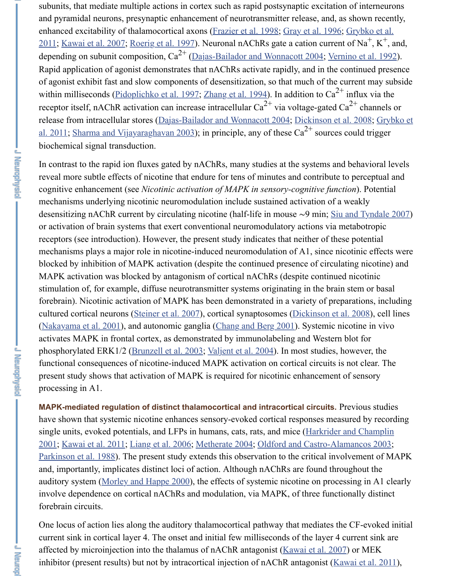<u>al. 2011; Sharma and Vijayaraghavan 2003</u>); in principle, any of these  $Ca^{2+}$  sources on biochemical signal transduction.

In contrast to the rapid ion fluxes gated by nAChRs, many studies at the systems and reveal [more subtle effec](https://www.ncbi.nlm.nih.gov/pmc/articles/PMC3362282/#B27)t[s of nicotine that e](https://www.ncbi.nlm.nih.gov/pmc/articles/PMC3362282/#B50)ndure for tens of minutes and contribute t cognitive enhancement (see *Nicotinic acti[vation of MAPK in sensory-cognitive](https://www.ncbi.nlm.nih.gov/pmc/articles/PMC3362282/#B11) funct* mechanisms underlying nicotinic neuromodulation include sustained activation of a w desensitizing nAChR current by circulating nicotine (half-life in mouse ∼9 min; Siu or activation of brain [systems that exert conv](https://www.ncbi.nlm.nih.gov/pmc/articles/PMC3362282/#B47)[entional neuromod](https://www.ncbi.nlm.nih.gov/pmc/articles/PMC3362282/#B64)ulatory actions via m receptors (see introduction). However, the present study indicates that neither of thes mechanisms plays a major role in nicotine-induced neuromodulation of A1, since nic blocked [by inhibition of MAPK activation](https://www.ncbi.nlm.nih.gov/pmc/articles/PMC3362282/#B51) (despite the continued presence of circulation). MAPK activation was blocked by antagonism of cortical nAChRs (despite continued stimulation of, for example, diffuse neurotransmitter systems originating in the brain forebrain). Nicotinic activation of MAPK has been demonstrated in a variety of preparations, including  $\mu$ cultured cortical neurons (Steiner et al. 2007), cortical synaptosomes (Dickinson et al. (Nakayama et al. 2001), and autonomic ganglia (Chang and Berg 2001). Systemic nic activates MAPK in frontal cortex, as demonstrated by immunolabeling and Western b phosphorylated ERK1/2 (Brunzell et al. 2003; Valjent et al. 2004). In most studies, however, the functional consequences of nicotine-induced MAPK activation on cortical circuits is present study shows that activation of MAPK is required for nicotinic enhancement of processing in A1.

MAPK-mediated regulation of distinct thalamocortical and intracortical circuits. Pr have shown that systemic nicotine enhances sensory-evoked cortical responses meas single units, evoked potentials, and LFPs in humans, cats, rats, and mice (Harkrider and Champlen and Champlen 2001; Kawai et al. 2011; [Liang et al. 2006; M](https://www.ncbi.nlm.nih.gov/pmc/articles/PMC3362282/#B55)etherate 2004; Oldford and Castro-Alam [Parkinson et al. 1988\).](https://www.ncbi.nlm.nih.gov/pmc/articles/PMC3362282/#B42) The present study extend[s this observation to th](https://www.ncbi.nlm.nih.gov/pmc/articles/PMC3362282/#B8)e critical involvement of MAPK Critical involvement of MAPK Critical involvement of MAPK Critical involvement of MAPK Critical involvement of MAPK Cri and, importantly, implicates distinct loci of action. Although nAChRs are found through auditory system (Morley [and Happe 2000\), th](https://www.ncbi.nlm.nih.gov/pmc/articles/PMC3362282/#B6)[e effects of systemi](https://www.ncbi.nlm.nih.gov/pmc/articles/PMC3362282/#B59)c nicotine on proces involve dependence on cortical nAChRs and modulation, via MAPK, of three function forebrain circuits.

One locus of action lies along the auditory thalamocortical pathway that mediates the current sink in cortical layer 4. The onset and initial few milliseconds of the layer 4 current sink in cortical affected by microinjection into the thalamus of nAChR antagonist (Kawai et al. 2007) inhibitor (present results) but not by intracortical injection of nAChR antagonist ( $Kav$ </u>

不通告者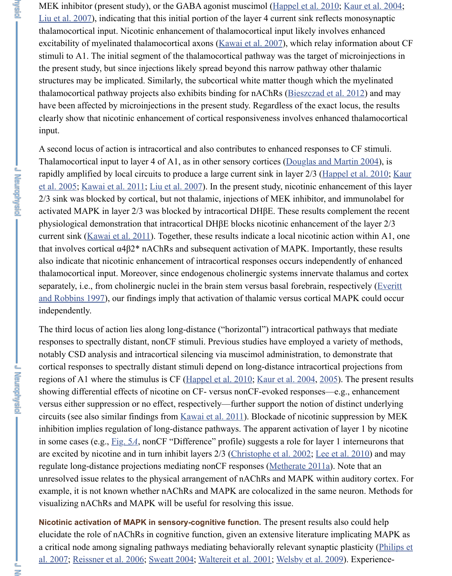input.

[A second locus](https://www.ncbi.nlm.nih.gov/pmc/articles/PMC3362282/#B34) of action is intracortical and also contributes to enhanced responses to Thalamocortical input to layer 4 of A1, as in other sensory cortices (Douglas and Ma rapidly amplified by local circuits to produce a la[rge current sink in](https://www.ncbi.nlm.nih.gov/pmc/articles/PMC3362282/#B27) layer 2/3 (Happel et al. 2005; Kawai et al. 2011; Liu et al. 2007). In the present study, nicotinic enhance 2/3 sink was blocked by cortical, but not thalamic, injections of MEK inhibitor, and i activated MAPK in layer  $2/3$  was blocked by intracortical DH $\beta$ E. These results comp physiological demonstration that intracortical DHβE blocks nicotini[c enhancement of the l](https://www.ncbi.nlm.nih.gov/pmc/articles/PMC3362282/#B5)ayer 2/3 current sink (Kawai et al. 2011). Together, these results indicate a local nicotinic action that involves cortical  $\alpha$ 4 $\beta$ 2\* nAChRs and subsequent activation of MAPK. Importantly also indicate that nicotinic enhancement of intracortical responses occurs independent thalamocortical input. Moreover, since endogenous cholinergic systems innervate that separately, i.e., from cholinergic nuclei in the brain stem versus basal forebrain, respe [and Robbins 1997\), our findings imply that activation of thalamic versus cortic](https://www.ncbi.nlm.nih.gov/pmc/articles/PMC3362282/#B26)al MA independen[tly.](https://www.ncbi.nlm.nih.gov/pmc/articles/PMC3362282/#B28)

. Distribution L

**Distribution C** 

The third locus of action lies along long-distance ("horizontal") intracortical pathway responses to spectrally distant, nonCF stimuli. Previous studies have employed a vari notably CSD analysis and intracortical silencing via muscimol administration, to den cortical resp[onses to spectrally](https://www.ncbi.nlm.nih.gov/pmc/articles/PMC3362282/#B28) distant stimuli depend on long-distance intracortical p regions of A1 where the stimulus is CF (Happel et al. 2010; Kaur et al. 2004, 2005). showing differential effects of nicotine on CF- versus nonCF-evoked responses—e.g. versus either suppression or no effect, respectively—further support the notion of dis circuits (see also similar findings from Kawai et al. 2011). Blockade of nicotinic suppression by ME inhibition implies regulation of long-distance pathways. The apparent activation of la in some cases (e.g., Fig. 5*A*, nonCF "Difference" profile) suggests a role for layer 1 in are excited by nicotine and in turn inhibit layers 2/3 (Christophe et al. 2002; Lee et al. regulate long-distance projections mediating nonCF responses (Metherate 2011a). No unresolved issue relates to the physical arrangement of nAChRs and MAPK within a example, it is not known whether nAChRs and MAPK are colocalized in the same ne visualizing nAChRs and MAPK will be [useful for resolving](https://www.ncbi.nlm.nih.gov/pmc/articles/PMC3362282/#B21) [this issue.](https://www.ncbi.nlm.nih.gov/pmc/articles/PMC3362282/#B25)

Nicotinic activation of MAPK in sensory-cognitive function. The present results also elucidate the role of nAChRs in cognitive function, given an extensive literature imp a critical node among signaling pathw[ays mediating beha](https://www.ncbi.nlm.nih.gov/pmc/articles/PMC3362282/#B28)viorally relevant synaptic p al. 2007; Reissner e[t al. 200](https://www.ncbi.nlm.nih.gov/pmc/articles/PMC3362282/figure/F5/)6; Sweatt 2004; Waltereit et al. 2001; Welsby et al. 2009)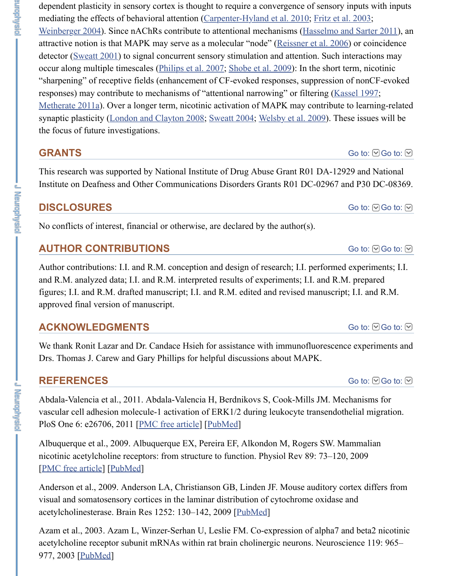the focus of future investigations.

## **[GRANTS](https://www.ncbi.nlm.nih.gov/pmc/articles/PMC3362282/#B62)**

This research was supported by National Institute of Drug Abuse Grant R01 DA-129 Institute [on Deafness a](https://www.ncbi.nlm.nih.gov/pmc/articles/PMC3362282/#B58)nd Other Communications Disorders Grants R01 DC-02967 a

# **DISCLOSURES**

[No conflicts of in](https://www.ncbi.nlm.nih.gov/pmc/articles/PMC3362282/#B36)terest, financial or otherwise, are declared by the author(s).

# **AUTHOR CON[TRIBUTIONS](https://www.ncbi.nlm.nih.gov/pmc/articles/PMC3362282/#B35)**

Author contributions: I.I. and R.M. conception and design of research; I.I. performed and R.M. analyzed data; I.I. and R.M. interpreted results of experiments; I.I. and R.M. figures; I.I. and R.M. drafted manuscript; I.I. and R.M. edited and revised manuscrip approved final version of manuscript.

## **ACKNOWLEDGMENTS**

We thank Ronit Lazar and Dr. Candace Hsieh for assistance with immunofluorescence Drs. Thomas J. Carew and Gary Phillips for helpful discussions about MAPK.

# **REFERENCES**

Abdala-Valencia et al., 2011. Abdala-Valencia H, Berdnikovs S, Cook-Mills JM. Me vascular cell adhesion molecule-1 activation of ERK1/2 during leukocyte transendothelial migration. PloS One 6: e26706, 2011 [PMC free article] [PubMed]

Albuquerque et al., 2009. Albuquerque EX, Pereira EF, Alkondon M, Rogers SW. M nicotinic acetylcholine receptors: from structure to function. Physiol Rev 89: 73-120 [PMC free article] [PubMed]

Anderson et al., 2009. Anderson LA, Christianson GB, Linden JF. Mouse auditory co visual and somatosensory cortices in the laminar distribution of cytochrome oxidase acetylcholinesterase. Brain Res 1252: 130–142, 2009 [PubMed]

Azam et al., 2003. Azam L, Winzer-Serhan U, Leslie FM. Co-expression of alpha7 a acetylcholine receptor subu[nit mRNAs withi](https://www.ncbi.nlm.nih.gov/pmc/articles/PMC3198778/)n [rat brain](https://www.ncbi.nlm.nih.gov/pubmed/22031842) cholinergic neurons. Neurosc 977, 2003 [PubMed]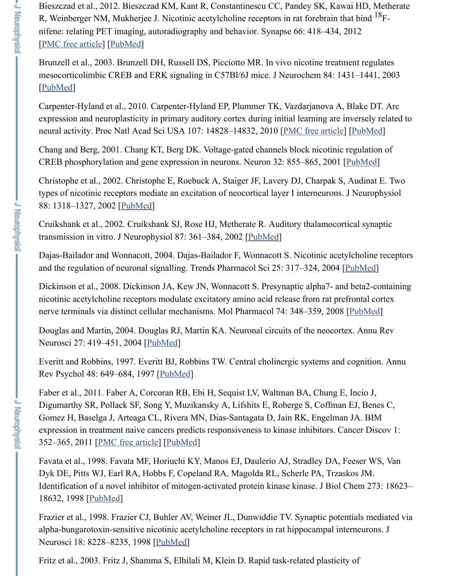neural activity. Proc Natl Acad Sci USA 107: 14828–14832, 2010 <u>PMC free article</u>

Chang and Berg, 2001. Chang KT, Berg DK. Voltage-gated channels block nicotinic CREB phosphorylation and gene expression in neurons. Neuron  $32: 855-865$ ,  $2001$ 

[Christophe et al.,](https://www.ncbi.nlm.nih.gov/pmc/articles/PMC3292694/) 2[002. Chri](https://www.ncbi.nlm.nih.gov/pubmed/22213342)stophe E, Roebuck A, Staiger JF, Lavery DJ, Charpak S, types of nicotinic receptors mediate an excitation of neocortical layer I interneurons. 88: 1318–1327, 2002 [PubMed]

[Cruikshan](https://www.ncbi.nlm.nih.gov/pubmed/12614343)k et al., 2002. Cruikshank SJ, Rose HJ, Metherate R. Auditory thalamocort transmission in vitro. J Neurophysiol 87: 361–384, 2002 [PubMed]

**District Market** 

**J** Newportysic .

Dajas-Bailador and Wonnacott, 2004. Dajas-Bailador F, Wonnacott [S. Nicotinic acet](https://www.ncbi.nlm.nih.gov/pmc/articles/PMC2930446/)y and the regulation of neuronal signalling. Trends Pharmacol Sci  $25: 317-324$ ,  $2004$  [

Dickinson et al., 2008. Dickinson JA, Kew JN, Wonnacott S. Presynaptic alpha7- and nicotinic acetylcholine receptors modulate excitatory amino acid release from rat pre nerve terminals via distinct cellular mechanisms. Mol Pharmacol 74: 348–359, 2008

Douglas and Martin, 2[004. Dou](https://www.ncbi.nlm.nih.gov/pubmed/12205153)glas RJ, Martin KA. Neuronal circuits of the neocorte Neurosci 27: 419–451, 2004 [PubMed]

Everitt and Robbins, 1997. Everitt BJ, Robbins TW. Cent[ral cholin](https://www.ncbi.nlm.nih.gov/pubmed/11784756)ergic systems and Rev Psychol 48: 649–684, 1997 [PubMed]

Faber et al., 2011. Faber A, Corcoran RB, Ebi H, Sequist LV, Waltman BA, Chung E Digumarthy SR, Pollack SF, Song Y, Muzikansky A, Lifshits E, Roberge S, Coffman Gomez H, Baselga J, Arteaga CL, Rivera MN, Dias-Santagata D, Jain RK, Engelman expression in treatment naive cancers predicts responsiveness to kinase inhibitors. Can 352–365, 2011 [PMC free article] [PubMed]

Favata et al., 1998. Favata MF, Horiuchi KY, Manos EJ, Daulerio AJ, Stradley DA, I Dyk DE, Pitts WJ, Earl RA, [Hobbs F, C](https://www.ncbi.nlm.nih.gov/pubmed/15217339)opeland RA, Magolda RL, Scherle PA, Trzas Identification of a novel inhibitor of mitogen-activated protein kinase kinase. J Biol Chem 27: 1863: 1862 18632, 1998 [PubMed]

Frazier et al., 1998. Frazier CJ, Buhler AV, Weiner JL, Dunwiddie TV. Synaptic potentials mediated via alpha-bungarotoxin-sensitive nicotinic acetylcholine receptors in rat hippocampal int Neurosci 18: 8228–8235, 1998 [PubMed]

Fritz et al., 2003. Fritz J, Shamma S, Elhilali M, Klein D. Rapid task-related plasticit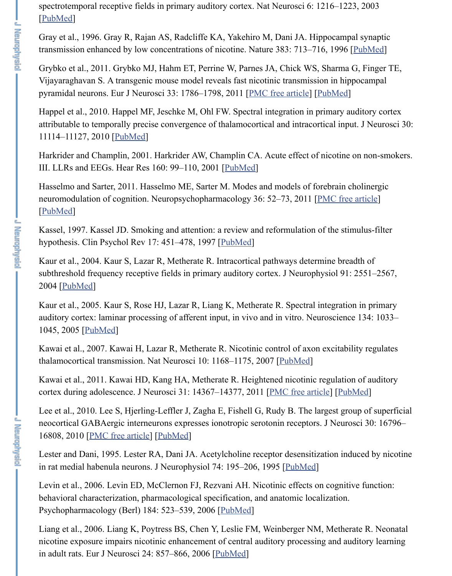### attributable to temporally precise convergence of thalamocortical and interacortical interacortical input. J Neurosci 30:  $\mathbf{H}$ 11114–11127, 2010 [PubMed]

[Harkrider](https://www.ncbi.nlm.nih.gov/pubmed/14583754) and Champlin, 2001. Harkrider AW, Champlin CA. Acute effect of nicotin III. LLRs and EEGs. Hear Res 160: 99–110, 2001 [PubMed]

Hasselmo and Sarter, 2011. Hasselmo ME, Sarter M. Modes and models of forebrain neuromodulation of cognition. Neuropsychopharmacology 36: 52–73, 2011 [PMC free [PubMed]

Kassel, 1997. Kassel JD. Smoking and attention: a review [and reformulatio](https://www.ncbi.nlm.nih.gov/pmc/articles/PMC3095690/)n [of the sti](https://www.ncbi.nlm.nih.gov/pubmed/21501254)mulus-filters hypothesis. Clin Psychol Rev 17: 451–478, 1997 [PubMed]

Kaur et al., 2004. Ka[ur S, Laz](https://www.ncbi.nlm.nih.gov/pubmed/20720119)ar R, Metherate R. Intracortical pathways determine br subthreshold frequency receptive fields in primary auditory cortex. J Neurophysiol 9 2004 [PubMed]

Kaur et al., 2005. Kaur S, Rose HJ, Lazar R, Liang K, Metherate R. Spectral integrat auditory cortex: laminar processing of afferent input, in vivo and in vitro. Neuroscien [1045, 200](https://www.ncbi.nlm.nih.gov/pubmed/20668433)5 [PubMed]

Kawai et al., 2007. Kawai H, Lazar R, Metherate R. Nicotinic control of axon excitable at the guidates of the s thalamocortical transmission. Nat Neurosci 10: 11[68–1175](https://www.ncbi.nlm.nih.gov/pubmed/9260037), 2007 [PubMed]

Kawai et al., 2011. Kawai HD, Kang HA, Metherate R. Heightened nicotinic regulation cortex during adolescence. J Neurosci 31:  $14367-14377$ , 2011 [PMC free article] [PubMed]

Lee et [al., 2010](https://www.ncbi.nlm.nih.gov/pubmed/14749307). Lee S, Hjerling-Leffler J, Zagha E, Fishell G, Rudy B. The largest g neocortical GABAergic interneurons expresses ionotropic serotonin receptors. J Neu 16808, 2010 [PMC free article] [PubMed]

Lester and [Dani, 1995](https://www.ncbi.nlm.nih.gov/pubmed/15979241). Lester RA, Dani JA. Acetylcholine receptor desensitization in in rat medial habenula neurons. J Neurophysiol 74: 195–206, 1995 [PubMed]

Levin et al., 2006. Levin ED, McClernon FJ, Rezvani AH. Nicoti[nic effects](https://www.ncbi.nlm.nih.gov/pubmed/17704774) on cogni behavioral characterization, pharmacological specification, and anatomic localization. Psychopharmacology (Berl) 184: 523–539, 2006 [PubMed]

Liang et al., 2006. Liang K, Poytress BS, Chen Y, Leslie FM, [Weinberger NM, M](https://www.ncbi.nlm.nih.gov/pmc/articles/PMC3210642/)eth nicotine exposure impairs nicotinic enhancement of central auditory processing and a in adult rats. Eur J Neurosci 24: 857–866, 2006 [PubMed]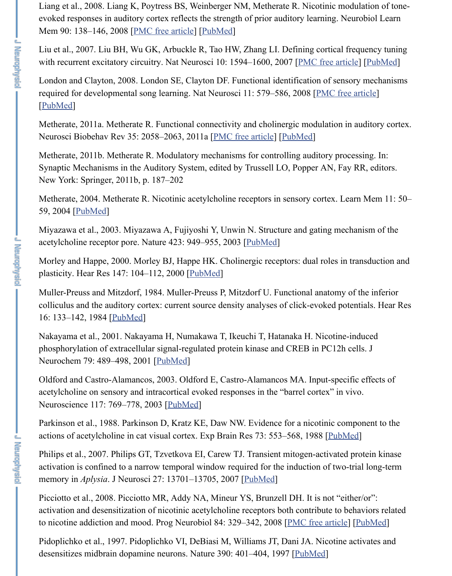Metherate, 2011a. Metherate R. Functional connectivity and cholinergic modulation in auditory cortex. Neurosci Biobehav Rev 35: 2058–2063, 2011a [PMC free article] [PubMed]

Metherate, 2011b. Mether[ate R. Modulator](https://www.ncbi.nlm.nih.gov/pmc/articles/PMC2464281/)y [mechanis](https://www.ncbi.nlm.nih.gov/pubmed/18378471)ms for controlling auditory pro Synaptic Mechanisms in the Auditory System, edited by Trussell LO, Popper AN, Fa New York: Springer, 2011b, p. 187–202

Metherate, 2004. Metherate R. Nicotinic acetylcholine receptors in sensory cortex. L 59, 2004 [PubMed]

[Miyazaw](https://www.ncbi.nlm.nih.gov/pubmed/18391944)a et al., 2003. Miyazawa A, Fujiyoshi Y, Unwin N. Structure and gating me acetylcholine receptor pore. Nature 423: 949–955, 2003 [PubMed]

Morley and Happe, 2000. Morley BJ, Happe H[K. Cholinergic rec](https://www.ncbi.nlm.nih.gov/pmc/articles/PMC3139107/)e[ptors: dua](https://www.ncbi.nlm.nih.gov/pubmed/21144860)l roles in plasticity. Hear Res 147: 104–112, 2000 [PubMed]

Muller-Preuss and Mitzdorf, 1984. Muller-Preuss P, Mitzdorf U. Functional anatomy colliculus and the auditory cortex: current source density analyses of click-evoked po 16: 133–142, 1984 [PubMed]

Nakayam[a et al., 2](https://www.ncbi.nlm.nih.gov/pubmed/14747517)001. Nakayama H, Numakawa T, Ikeuchi T, Hatanaka H. Nicotine phosphorylation of extracellular signal-regulated protein kinase and CREB in PC12h Neurochem 79: 489–498, 2001 [PubMed]

Oldford and Castro-Alamancos, 2003. Oldford E, Castro-Alamancos MA. Input-specific effects of effects of effects of  $E$ , Castro-Alamancos MA. Input-specific effects of  $E$ acetylcholine on sensory and intracortical evoked responses in the "barrel cortex" in Neuroscience 117: 769–778, 2003 [Pub[Med\]](https://www.ncbi.nlm.nih.gov/pubmed/10962177)

Parkinson et al., 1988. Parkinson D, Kratz KE, Daw NW. Evidence for a nicotinic co actions of acetylcholine in cat visual cortex. Exp Brain Res  $73: 553-568$ , 1988 [PubMed]

Philips et al., 2007. [Philips G](https://www.ncbi.nlm.nih.gov/pubmed/6526745)T, Tzvetkova EI, Carew TJ. Transient mitogen-activated activation is confined to a narrow temporal window required for the induction of two memory in *Aplysia*. J Neurosci 27: 13701–13705, 2007 [PubMed]

Picciotto et al., 2008. Picciotto [MR, Addy](https://www.ncbi.nlm.nih.gov/pubmed/11701752) NA, Mineur YS, Brunzell DH. It is not "eitheractivation and desensitization of nicotinic acetylcholine receptors both contribute to be to nicotine addiction and mood. Prog Neurobiol 84: 329–342, 2008 [PMC free article

Pidoplichko et al., 1997. Pidoplich[ko VI, De](https://www.ncbi.nlm.nih.gov/pubmed/12617980)Biasi M, Williams JT, Dani JA. Nicotine desensitizes midbrain dopamine neurons. Nature 390: 401-404, 1997 [PubMed]